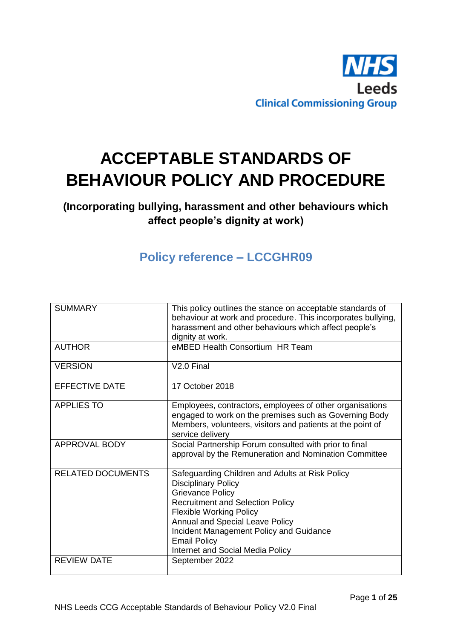

# **ACCEPTABLE STANDARDS OF BEHAVIOUR POLICY AND PROCEDURE**

# **(Incorporating bullying, harassment and other behaviours which affect people's dignity at work)**

# **Policy reference – LCCGHR09**

| <b>SUMMARY</b>           | This policy outlines the stance on acceptable standards of<br>behaviour at work and procedure. This incorporates bullying,<br>harassment and other behaviours which affect people's<br>dignity at work.                                                                                                                               |
|--------------------------|---------------------------------------------------------------------------------------------------------------------------------------------------------------------------------------------------------------------------------------------------------------------------------------------------------------------------------------|
| <b>AUTHOR</b>            | eMBED Health Consortium HR Team                                                                                                                                                                                                                                                                                                       |
| <b>VERSION</b>           | V <sub>2.0</sub> Final                                                                                                                                                                                                                                                                                                                |
| <b>EFFECTIVE DATE</b>    | 17 October 2018                                                                                                                                                                                                                                                                                                                       |
| <b>APPLIES TO</b>        | Employees, contractors, employees of other organisations<br>engaged to work on the premises such as Governing Body<br>Members, volunteers, visitors and patients at the point of<br>service delivery                                                                                                                                  |
| APPROVAL BODY            | Social Partnership Forum consulted with prior to final<br>approval by the Remuneration and Nomination Committee                                                                                                                                                                                                                       |
| <b>RELATED DOCUMENTS</b> | Safeguarding Children and Adults at Risk Policy<br><b>Disciplinary Policy</b><br><b>Grievance Policy</b><br><b>Recruitment and Selection Policy</b><br><b>Flexible Working Policy</b><br>Annual and Special Leave Policy<br>Incident Management Policy and Guidance<br><b>Email Policy</b><br><b>Internet and Social Media Policy</b> |
| <b>REVIEW DATE</b>       | September 2022                                                                                                                                                                                                                                                                                                                        |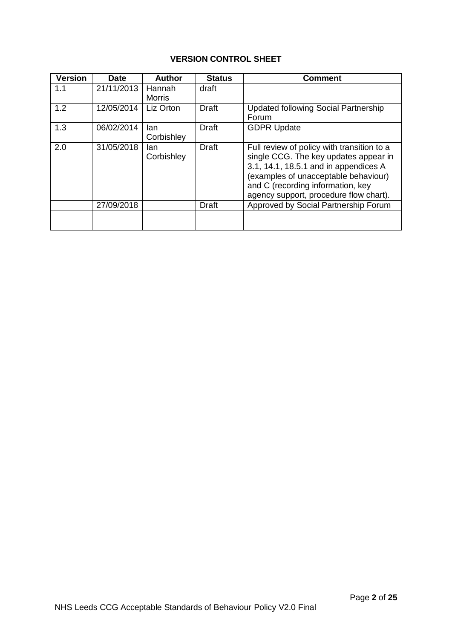# **VERSION CONTROL SHEET**

| <b>Version</b> | <b>Date</b> | <b>Author</b>      | <b>Status</b> | <b>Comment</b>                                                                                                                                                                                                                                      |
|----------------|-------------|--------------------|---------------|-----------------------------------------------------------------------------------------------------------------------------------------------------------------------------------------------------------------------------------------------------|
| 1.1            | 21/11/2013  | Hannah<br>Morris   | draft         |                                                                                                                                                                                                                                                     |
| 1.2            | 12/05/2014  | Liz Orton          | <b>Draft</b>  | <b>Updated following Social Partnership</b><br>Forum                                                                                                                                                                                                |
| 1.3            | 06/02/2014  | lan<br>Corbishley  | <b>Draft</b>  | <b>GDPR Update</b>                                                                                                                                                                                                                                  |
| 2.0            | 31/05/2018  | lan.<br>Corbishley | <b>Draft</b>  | Full review of policy with transition to a<br>single CCG. The key updates appear in<br>3.1, 14.1, 18.5.1 and in appendices A<br>(examples of unacceptable behaviour)<br>and C (recording information, key<br>agency support, procedure flow chart). |
|                | 27/09/2018  |                    | <b>Draft</b>  | Approved by Social Partnership Forum                                                                                                                                                                                                                |
|                |             |                    |               |                                                                                                                                                                                                                                                     |
|                |             |                    |               |                                                                                                                                                                                                                                                     |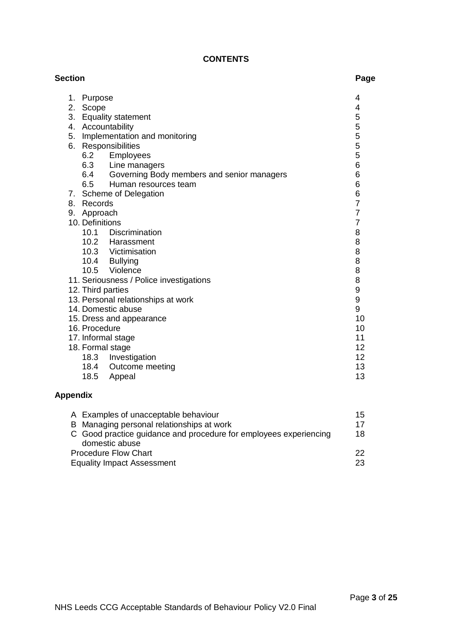# **CONTENTS**

| <b>Section</b> |                                                | Page           |
|----------------|------------------------------------------------|----------------|
| 1.             | Purpose                                        | 4              |
| 2.             | Scope                                          | 4              |
|                | 3. Equality statement                          | 5              |
|                | 4. Accountability                              | 5              |
| 5.             | Implementation and monitoring                  | 5              |
|                | 6. Responsibilities                            | 5              |
|                | 6.2 Employees                                  | 5              |
|                | 6.3 Line managers                              | 6              |
|                | 6.4 Governing Body members and senior managers | 6              |
|                | Human resources team<br>6.5                    | 6              |
|                | 7. Scheme of Delegation                        | 6              |
| 8.             | Records                                        | 7              |
|                | 9. Approach                                    | $\overline{7}$ |
|                | 10. Definitions                                | $\overline{7}$ |
|                | 10.1 Discrimination                            | 8              |
|                | 10.2 Harassment                                | 8              |
|                | 10.3 Victimisation                             | 8              |
|                | 10.4 Bullying                                  | 8              |
|                | 10.5 Violence                                  | 8              |
|                | 11. Seriousness / Police investigations        | 8              |
|                | 12. Third parties                              | 9              |
|                | 13. Personal relationships at work             | 9              |
|                | 14. Domestic abuse                             | 9              |
|                | 15. Dress and appearance                       | 10             |
|                | 16. Procedure                                  | 10             |
|                | 17. Informal stage                             | 11             |
|                | 18. Formal stage                               | 12             |
|                | 18.3 Investigation                             | 12             |
|                | 18.4 Outcome meeting                           | 13             |
|                | 18.5<br>Appeal                                 | 13             |

# **Appendix**

| A Examples of unacceptable behaviour                              | 15 |
|-------------------------------------------------------------------|----|
| B Managing personal relationships at work                         | 17 |
| C Good practice guidance and procedure for employees experiencing | 18 |
| domestic abuse                                                    |    |
| <b>Procedure Flow Chart</b>                                       | 22 |
| <b>Equality Impact Assessment</b>                                 | 23 |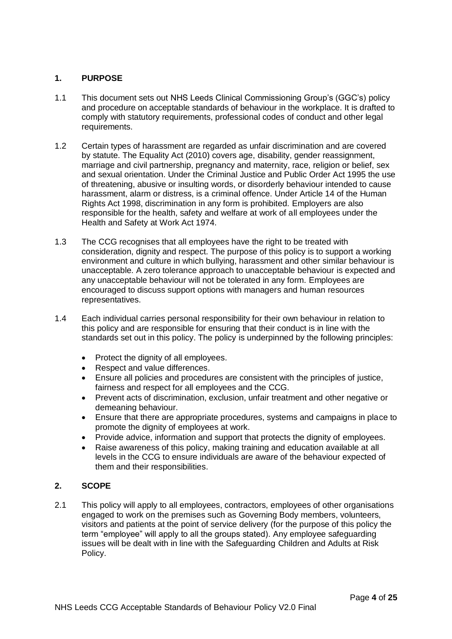# **1. PURPOSE**

- 1.1 This document sets out NHS Leeds Clinical Commissioning Group's (GGC's) policy and procedure on acceptable standards of behaviour in the workplace. It is drafted to comply with statutory requirements, professional codes of conduct and other legal requirements.
- 1.2 Certain types of harassment are regarded as unfair discrimination and are covered by statute. The Equality Act (2010) covers age, disability, gender reassignment, marriage and civil partnership, pregnancy and maternity, race, religion or belief, sex and sexual orientation. Under the Criminal Justice and Public Order Act 1995 the use of threatening, abusive or insulting words, or disorderly behaviour intended to cause harassment, alarm or distress, is a criminal offence. Under Article 14 of the Human Rights Act 1998, discrimination in any form is prohibited. Employers are also responsible for the health, safety and welfare at work of all employees under the Health and Safety at Work Act 1974.
- 1.3 The CCG recognises that all employees have the right to be treated with consideration, dignity and respect. The purpose of this policy is to support a working environment and culture in which bullying, harassment and other similar behaviour is unacceptable. A zero tolerance approach to unacceptable behaviour is expected and any unacceptable behaviour will not be tolerated in any form. Employees are encouraged to discuss support options with managers and human resources representatives.
- 1.4 Each individual carries personal responsibility for their own behaviour in relation to this policy and are responsible for ensuring that their conduct is in line with the standards set out in this policy. The policy is underpinned by the following principles:
	- Protect the dignity of all employees.
	- Respect and value differences.
	- Ensure all policies and procedures are consistent with the principles of justice, fairness and respect for all employees and the CCG.
	- Prevent acts of discrimination, exclusion, unfair treatment and other negative or demeaning behaviour.
	- Ensure that there are appropriate procedures, systems and campaigns in place to promote the dignity of employees at work.
	- Provide advice, information and support that protects the dignity of employees.
	- Raise awareness of this policy, making training and education available at all levels in the CCG to ensure individuals are aware of the behaviour expected of them and their responsibilities.

# **2. SCOPE**

2.1 This policy will apply to all employees, contractors, employees of other organisations engaged to work on the premises such as Governing Body members, volunteers, visitors and patients at the point of service delivery (for the purpose of this policy the term "employee" will apply to all the groups stated). Any employee safeguarding issues will be dealt with in line with the Safeguarding Children and Adults at Risk Policy.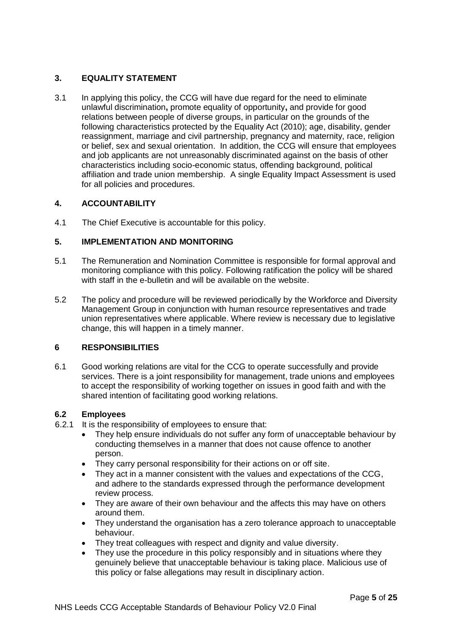# **3. EQUALITY STATEMENT**

3.1 In applying this policy, the CCG will have due regard for the need to eliminate unlawful discrimination**,** promote equality of opportunity**,** and provide for good relations between people of diverse groups, in particular on the grounds of the following characteristics protected by the Equality Act (2010); age, disability, gender reassignment, marriage and civil partnership, pregnancy and maternity, race, religion or belief, sex and sexual orientation. In addition, the CCG will ensure that employees and job applicants are not unreasonably discriminated against on the basis of other characteristics including socio-economic status, offending background, political affiliation and trade union membership. A single Equality Impact Assessment is used for all policies and procedures.

# **4. ACCOUNTABILITY**

4.1 The Chief Executive is accountable for this policy.

# **5. IMPLEMENTATION AND MONITORING**

- 5.1 The Remuneration and Nomination Committee is responsible for formal approval and monitoring compliance with this policy. Following ratification the policy will be shared with staff in the e-bulletin and will be available on the website.
- 5.2 The policy and procedure will be reviewed periodically by the Workforce and Diversity Management Group in conjunction with human resource representatives and trade union representatives where applicable. Where review is necessary due to legislative change, this will happen in a timely manner.

# **6 RESPONSIBILITIES**

6.1 Good working relations are vital for the CCG to operate successfully and provide services. There is a joint responsibility for management, trade unions and employees to accept the responsibility of working together on issues in good faith and with the shared intention of facilitating good working relations.

# **6.2 Employees**

- 6.2.1 It is the responsibility of employees to ensure that:
	- They help ensure individuals do not suffer any form of unacceptable behaviour by conducting themselves in a manner that does not cause offence to another person.
	- They carry personal responsibility for their actions on or off site.
	- They act in a manner consistent with the values and expectations of the CCG, and adhere to the standards expressed through the performance development review process.
	- They are aware of their own behaviour and the affects this may have on others around them.
	- They understand the organisation has a zero tolerance approach to unacceptable behaviour.
	- They treat colleagues with respect and dignity and value diversity.
	- They use the procedure in this policy responsibly and in situations where they genuinely believe that unacceptable behaviour is taking place. Malicious use of this policy or false allegations may result in disciplinary action.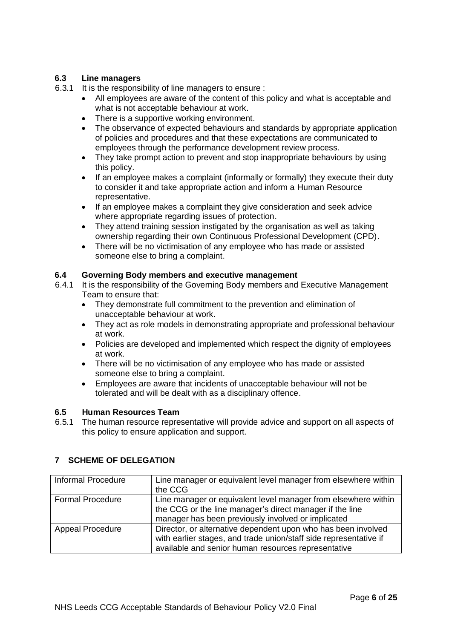# **6.3 Line managers**

- 6.3.1 It is the responsibility of line managers to ensure :
	- All employees are aware of the content of this policy and what is acceptable and what is not acceptable behaviour at work.
	- There is a supportive working environment.
	- The observance of expected behaviours and standards by appropriate application of policies and procedures and that these expectations are communicated to employees through the performance development review process.
	- They take prompt action to prevent and stop inappropriate behaviours by using this policy.
	- If an employee makes a complaint (informally or formally) they execute their duty to consider it and take appropriate action and inform a Human Resource representative.
	- If an employee makes a complaint they give consideration and seek advice where appropriate regarding issues of protection.
	- They attend training session instigated by the organisation as well as taking ownership regarding their own Continuous Professional Development (CPD).
	- There will be no victimisation of any employee who has made or assisted someone else to bring a complaint.

# **6.4 Governing Body members and executive management**

- 6.4.1 It is the responsibility of the Governing Body members and Executive Management Team to ensure that:
	- They demonstrate full commitment to the prevention and elimination of unacceptable behaviour at work.
	- They act as role models in demonstrating appropriate and professional behaviour at work.
	- Policies are developed and implemented which respect the dignity of employees at work.
	- There will be no victimisation of any employee who has made or assisted someone else to bring a complaint.
	- Employees are aware that incidents of unacceptable behaviour will not be tolerated and will be dealt with as a disciplinary offence.

# **6.5 Human Resources Team**

6.5.1 The human resource representative will provide advice and support on all aspects of this policy to ensure application and support.

# **7 SCHEME OF DELEGATION**

| Informal Procedure      | Line manager or equivalent level manager from elsewhere within<br>the CCG                                                                                                                 |
|-------------------------|-------------------------------------------------------------------------------------------------------------------------------------------------------------------------------------------|
| <b>Formal Procedure</b> | Line manager or equivalent level manager from elsewhere within<br>the CCG or the line manager's direct manager if the line<br>manager has been previously involved or implicated          |
| <b>Appeal Procedure</b> | Director, or alternative dependent upon who has been involved<br>with earlier stages, and trade union/staff side representative if<br>available and senior human resources representative |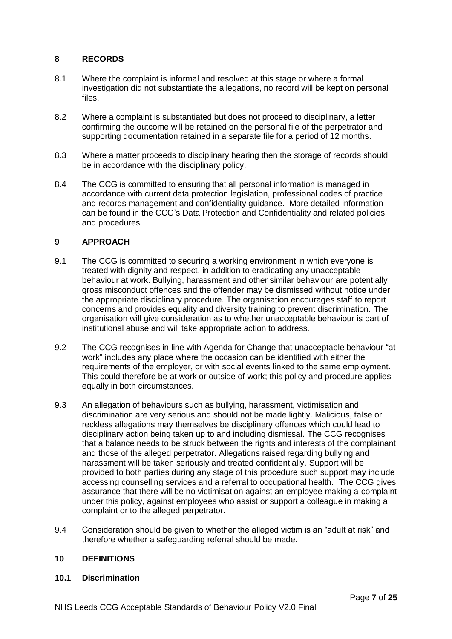# **8 RECORDS**

- 8.1 Where the complaint is informal and resolved at this stage or where a formal investigation did not substantiate the allegations, no record will be kept on personal files.
- 8.2 Where a complaint is substantiated but does not proceed to disciplinary, a letter confirming the outcome will be retained on the personal file of the perpetrator and supporting documentation retained in a separate file for a period of 12 months.
- 8.3 Where a matter proceeds to disciplinary hearing then the storage of records should be in accordance with the disciplinary policy.
- 8.4 The CCG is committed to ensuring that all personal information is managed in accordance with current data protection legislation, professional codes of practice and records management and confidentiality guidance. More detailed information can be found in the CCG's Data Protection and Confidentiality and related policies and procedures*.*

# **9 APPROACH**

- 9.1 The CCG is committed to securing a working environment in which everyone is treated with dignity and respect, in addition to eradicating any unacceptable behaviour at work. Bullying, harassment and other similar behaviour are potentially gross misconduct offences and the offender may be dismissed without notice under the appropriate disciplinary procedure. The organisation encourages staff to report concerns and provides equality and diversity training to prevent discrimination. The organisation will give consideration as to whether unacceptable behaviour is part of institutional abuse and will take appropriate action to address.
- 9.2 The CCG recognises in line with Agenda for Change that unacceptable behaviour "at work" includes any place where the occasion can be identified with either the requirements of the employer, or with social events linked to the same employment. This could therefore be at work or outside of work; this policy and procedure applies equally in both circumstances.
- 9.3 An allegation of behaviours such as bullying, harassment, victimisation and discrimination are very serious and should not be made lightly. Malicious, false or reckless allegations may themselves be disciplinary offences which could lead to disciplinary action being taken up to and including dismissal. The CCG recognises that a balance needs to be struck between the rights and interests of the complainant and those of the alleged perpetrator. Allegations raised regarding bullying and harassment will be taken seriously and treated confidentially. Support will be provided to both parties during any stage of this procedure such support may include accessing counselling services and a referral to occupational health. The CCG gives assurance that there will be no victimisation against an employee making a complaint under this policy, against employees who assist or support a colleague in making a complaint or to the alleged perpetrator.
- 9.4 Consideration should be given to whether the alleged victim is an "adult at risk" and therefore whether a safeguarding referral should be made.

# **10 DEFINITIONS**

#### **10.1 Discrimination**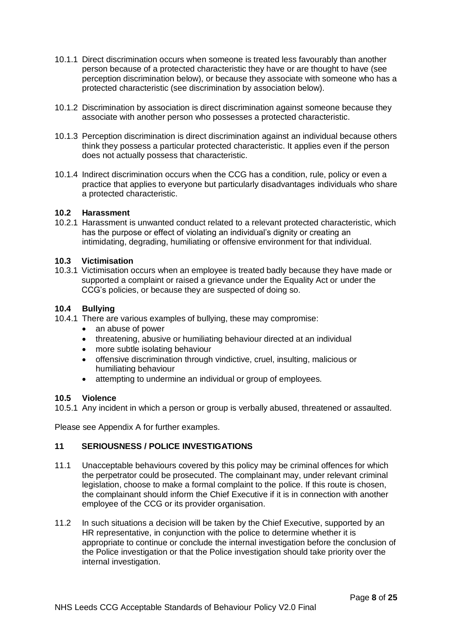- 10.1.1 Direct discrimination occurs when someone is treated less favourably than another person because of a protected characteristic they have or are thought to have (see perception discrimination below), or because they associate with someone who has a protected characteristic (see discrimination by association below).
- 10.1.2 Discrimination by association is direct discrimination against someone because they associate with another person who possesses a protected characteristic.
- 10.1.3 Perception discrimination is direct discrimination against an individual because others think they possess a particular protected characteristic. It applies even if the person does not actually possess that characteristic.
- 10.1.4 Indirect discrimination occurs when the CCG has a condition, rule, policy or even a practice that applies to everyone but particularly disadvantages individuals who share a protected characteristic.

# **10.2 Harassment**

10.2.1 Harassment is unwanted conduct related to a relevant protected characteristic, which has the purpose or effect of violating an individual's dignity or creating an intimidating, degrading, humiliating or offensive environment for that individual.

#### **10.3 Victimisation**

10.3.1 Victimisation occurs when an employee is treated badly because they have made or supported a complaint or raised a grievance under the Equality Act or under the CCG's policies, or because they are suspected of doing so.

#### **10.4 Bullying**

- 10.4.1 There are various examples of bullying, these may compromise:
	- an abuse of power
	- threatening, abusive or humiliating behaviour directed at an individual
	- more subtle isolating behaviour
	- offensive discrimination through vindictive, cruel, insulting, malicious or humiliating behaviour
	- attempting to undermine an individual or group of employees.

#### **10.5 Violence**

10.5.1 Any incident in which a person or group is verbally abused, threatened or assaulted.

Please see Appendix A for further examples.

# **11 SERIOUSNESS / POLICE INVESTIGATIONS**

- 11.1 Unacceptable behaviours covered by this policy may be criminal offences for which the perpetrator could be prosecuted. The complainant may, under relevant criminal legislation, choose to make a formal complaint to the police. If this route is chosen, the complainant should inform the Chief Executive if it is in connection with another employee of the CCG or its provider organisation.
- 11.2 In such situations a decision will be taken by the Chief Executive, supported by an HR representative, in conjunction with the police to determine whether it is appropriate to continue or conclude the internal investigation before the conclusion of the Police investigation or that the Police investigation should take priority over the internal investigation.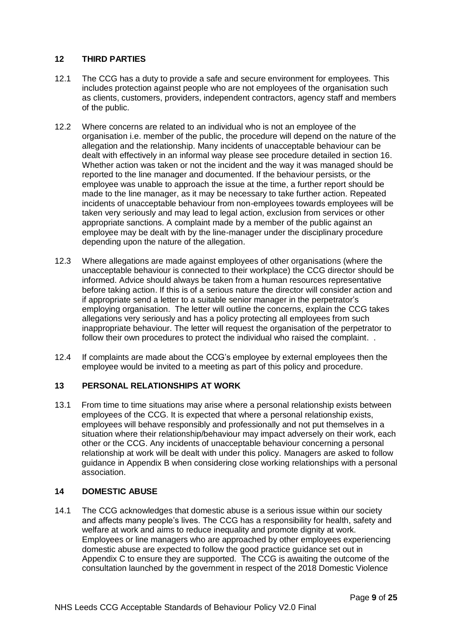# **12 THIRD PARTIES**

- 12.1 The CCG has a duty to provide a safe and secure environment for employees. This includes protection against people who are not employees of the organisation such as clients, customers, providers, independent contractors, agency staff and members of the public.
- 12.2 Where concerns are related to an individual who is not an employee of the organisation i.e. member of the public, the procedure will depend on the nature of the allegation and the relationship. Many incidents of unacceptable behaviour can be dealt with effectively in an informal way please see procedure detailed in section 16. Whether action was taken or not the incident and the way it was managed should be reported to the line manager and documented. If the behaviour persists, or the employee was unable to approach the issue at the time, a further report should be made to the line manager, as it may be necessary to take further action. Repeated incidents of unacceptable behaviour from non-employees towards employees will be taken very seriously and may lead to legal action, exclusion from services or other appropriate sanctions. A complaint made by a member of the public against an employee may be dealt with by the line-manager under the disciplinary procedure depending upon the nature of the allegation.
- 12.3 Where allegations are made against employees of other organisations (where the unacceptable behaviour is connected to their workplace) the CCG director should be informed. Advice should always be taken from a human resources representative before taking action. If this is of a serious nature the director will consider action and if appropriate send a letter to a suitable senior manager in the perpetrator's employing organisation. The letter will outline the concerns, explain the CCG takes allegations very seriously and has a policy protecting all employees from such inappropriate behaviour. The letter will request the organisation of the perpetrator to follow their own procedures to protect the individual who raised the complaint. .
- 12.4 If complaints are made about the CCG's employee by external employees then the employee would be invited to a meeting as part of this policy and procedure.

# **13 PERSONAL RELATIONSHIPS AT WORK**

13.1 From time to time situations may arise where a personal relationship exists between employees of the CCG. It is expected that where a personal relationship exists, employees will behave responsibly and professionally and not put themselves in a situation where their relationship/behaviour may impact adversely on their work, each other or the CCG. Any incidents of unacceptable behaviour concerning a personal relationship at work will be dealt with under this policy. Managers are asked to follow guidance in Appendix B when considering close working relationships with a personal association.

#### **14 DOMESTIC ABUSE**

14.1 The CCG acknowledges that domestic abuse is a serious issue within our society and affects many people's lives. The CCG has a responsibility for health, safety and welfare at work and aims to reduce inequality and promote dignity at work. Employees or line managers who are approached by other employees experiencing domestic abuse are expected to follow the good practice guidance set out in Appendix C to ensure they are supported. The CCG is awaiting the outcome of the consultation launched by the government in respect of the 2018 Domestic Violence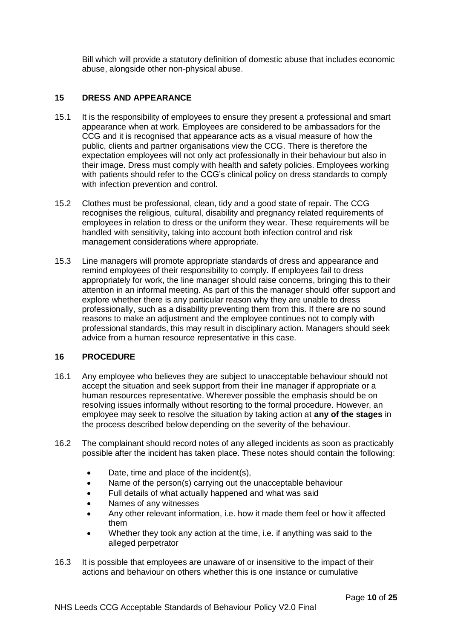Bill which will provide a statutory definition of domestic abuse that includes economic abuse, alongside other non-physical abuse.

#### **15 DRESS AND APPEARANCE**

- 15.1 It is the responsibility of employees to ensure they present a professional and smart appearance when at work. Employees are considered to be ambassadors for the CCG and it is recognised that appearance acts as a visual measure of how the public, clients and partner organisations view the CCG. There is therefore the expectation employees will not only act professionally in their behaviour but also in their image. Dress must comply with health and safety policies. Employees working with patients should refer to the CCG's clinical policy on dress standards to comply with infection prevention and control.
- 15.2 Clothes must be professional, clean, tidy and a good state of repair. The CCG recognises the religious, cultural, disability and pregnancy related requirements of employees in relation to dress or the uniform they wear. These requirements will be handled with sensitivity, taking into account both infection control and risk management considerations where appropriate.
- 15.3 Line managers will promote appropriate standards of dress and appearance and remind employees of their responsibility to comply. If employees fail to dress appropriately for work, the line manager should raise concerns, bringing this to their attention in an informal meeting. As part of this the manager should offer support and explore whether there is any particular reason why they are unable to dress professionally, such as a disability preventing them from this. If there are no sound reasons to make an adjustment and the employee continues not to comply with professional standards, this may result in disciplinary action. Managers should seek advice from a human resource representative in this case.

#### **16 PROCEDURE**

- 16.1 Any employee who believes they are subject to unacceptable behaviour should not accept the situation and seek support from their line manager if appropriate or a human resources representative. Wherever possible the emphasis should be on resolving issues informally without resorting to the formal procedure. However, an employee may seek to resolve the situation by taking action at **any of the stages** in the process described below depending on the severity of the behaviour.
- 16.2 The complainant should record notes of any alleged incidents as soon as practicably possible after the incident has taken place. These notes should contain the following:
	- Date, time and place of the incident(s),
	- Name of the person(s) carrying out the unacceptable behaviour
	- Full details of what actually happened and what was said
	- Names of any witnesses
	- Any other relevant information, i.e. how it made them feel or how it affected them
	- Whether they took any action at the time, i.e. if anything was said to the alleged perpetrator
- 16.3 It is possible that employees are unaware of or insensitive to the impact of their actions and behaviour on others whether this is one instance or cumulative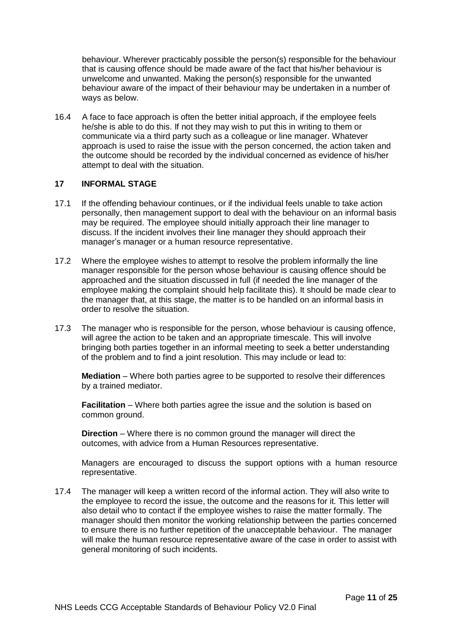behaviour. Wherever practicably possible the person(s) responsible for the behaviour that is causing offence should be made aware of the fact that his/her behaviour is unwelcome and unwanted. Making the person(s) responsible for the unwanted behaviour aware of the impact of their behaviour may be undertaken in a number of ways as below.

16.4 A face to face approach is often the better initial approach, if the employee feels he/she is able to do this. If not they may wish to put this in writing to them or communicate via a third party such as a colleague or line manager. Whatever approach is used to raise the issue with the person concerned, the action taken and the outcome should be recorded by the individual concerned as evidence of his/her attempt to deal with the situation.

#### **17 INFORMAL STAGE**

- 17.1 If the offending behaviour continues, or if the individual feels unable to take action personally, then management support to deal with the behaviour on an informal basis may be required. The employee should initially approach their line manager to discuss. If the incident involves their line manager they should approach their manager's manager or a human resource representative.
- 17.2 Where the employee wishes to attempt to resolve the problem informally the line manager responsible for the person whose behaviour is causing offence should be approached and the situation discussed in full (if needed the line manager of the employee making the complaint should help facilitate this). It should be made clear to the manager that, at this stage, the matter is to be handled on an informal basis in order to resolve the situation.
- 17.3 The manager who is responsible for the person, whose behaviour is causing offence, will agree the action to be taken and an appropriate timescale. This will involve bringing both parties together in an informal meeting to seek a better understanding of the problem and to find a joint resolution. This may include or lead to:

**Mediation** – Where both parties agree to be supported to resolve their differences by a trained mediator.

**Facilitation** – Where both parties agree the issue and the solution is based on common ground.

**Direction** – Where there is no common ground the manager will direct the outcomes, with advice from a Human Resources representative.

Managers are encouraged to discuss the support options with a human resource representative.

17.4 The manager will keep a written record of the informal action. They will also write to the employee to record the issue, the outcome and the reasons for it. This letter will also detail who to contact if the employee wishes to raise the matter formally. The manager should then monitor the working relationship between the parties concerned to ensure there is no further repetition of the unacceptable behaviour. The manager will make the human resource representative aware of the case in order to assist with general monitoring of such incidents.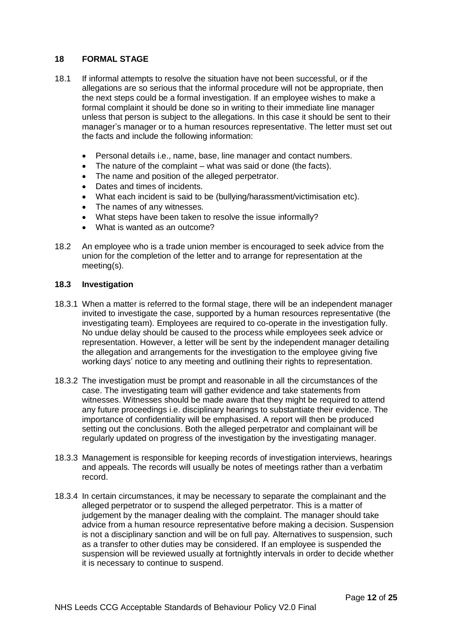#### **18 FORMAL STAGE**

- 18.1 If informal attempts to resolve the situation have not been successful, or if the allegations are so serious that the informal procedure will not be appropriate, then the next steps could be a formal investigation. If an employee wishes to make a formal complaint it should be done so in writing to their immediate line manager unless that person is subject to the allegations. In this case it should be sent to their manager's manager or to a human resources representative. The letter must set out the facts and include the following information:
	- Personal details i.e., name, base, line manager and contact numbers.
	- The nature of the complaint what was said or done (the facts).
	- The name and position of the alleged perpetrator.
	- Dates and times of incidents.
	- What each incident is said to be (bullying/harassment/victimisation etc).
	- The names of any witnesses.
	- What steps have been taken to resolve the issue informally?
	- What is wanted as an outcome?
- 18.2 An employee who is a trade union member is encouraged to seek advice from the union for the completion of the letter and to arrange for representation at the meeting(s).

#### **18.3 Investigation**

- 18.3.1 When a matter is referred to the formal stage, there will be an independent manager invited to investigate the case, supported by a human resources representative (the investigating team). Employees are required to co-operate in the investigation fully. No undue delay should be caused to the process while employees seek advice or representation. However, a letter will be sent by the independent manager detailing the allegation and arrangements for the investigation to the employee giving five working days' notice to any meeting and outlining their rights to representation.
- 18.3.2 The investigation must be prompt and reasonable in all the circumstances of the case. The investigating team will gather evidence and take statements from witnesses. Witnesses should be made aware that they might be required to attend any future proceedings i.e. disciplinary hearings to substantiate their evidence. The importance of confidentiality will be emphasised. A report will then be produced setting out the conclusions. Both the alleged perpetrator and complainant will be regularly updated on progress of the investigation by the investigating manager.
- 18.3.3 Management is responsible for keeping records of investigation interviews, hearings and appeals. The records will usually be notes of meetings rather than a verbatim record.
- 18.3.4 In certain circumstances, it may be necessary to separate the complainant and the alleged perpetrator or to suspend the alleged perpetrator. This is a matter of judgement by the manager dealing with the complaint. The manager should take advice from a human resource representative before making a decision. Suspension is not a disciplinary sanction and will be on full pay. Alternatives to suspension, such as a transfer to other duties may be considered. If an employee is suspended the suspension will be reviewed usually at fortnightly intervals in order to decide whether it is necessary to continue to suspend.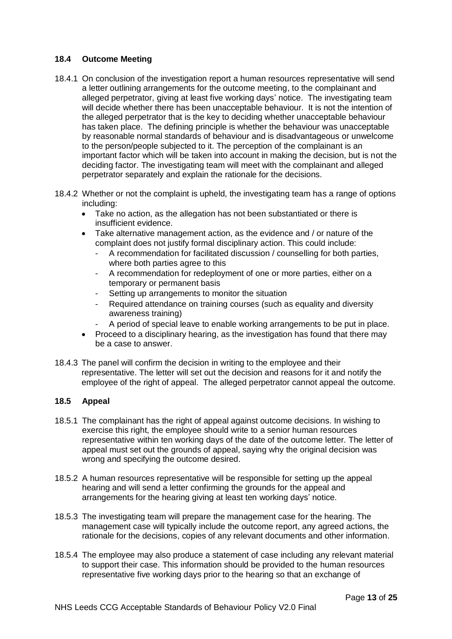# **18.4 Outcome Meeting**

- 18.4.1 On conclusion of the investigation report a human resources representative will send a letter outlining arrangements for the outcome meeting, to the complainant and alleged perpetrator, giving at least five working days' notice. The investigating team will decide whether there has been unacceptable behaviour. It is not the intention of the alleged perpetrator that is the key to deciding whether unacceptable behaviour has taken place. The defining principle is whether the behaviour was unacceptable by reasonable normal standards of behaviour and is disadvantageous or unwelcome to the person/people subjected to it. The perception of the complainant is an important factor which will be taken into account in making the decision, but is not the deciding factor. The investigating team will meet with the complainant and alleged perpetrator separately and explain the rationale for the decisions.
- 18.4.2 Whether or not the complaint is upheld, the investigating team has a range of options including:
	- Take no action, as the allegation has not been substantiated or there is insufficient evidence.
	- Take alternative management action, as the evidence and / or nature of the complaint does not justify formal disciplinary action. This could include:
		- A recommendation for facilitated discussion / counselling for both parties, where both parties agree to this
		- A recommendation for redeployment of one or more parties, either on a temporary or permanent basis
		- Setting up arrangements to monitor the situation
		- Required attendance on training courses (such as equality and diversity awareness training)
		- A period of special leave to enable working arrangements to be put in place.
	- Proceed to a disciplinary hearing, as the investigation has found that there may be a case to answer.
- 18.4.3 The panel will confirm the decision in writing to the employee and their representative. The letter will set out the decision and reasons for it and notify the employee of the right of appeal. The alleged perpetrator cannot appeal the outcome.

# **18.5 Appeal**

- 18.5.1 The complainant has the right of appeal against outcome decisions. In wishing to exercise this right, the employee should write to a senior human resources representative within ten working days of the date of the outcome letter. The letter of appeal must set out the grounds of appeal, saying why the original decision was wrong and specifying the outcome desired.
- 18.5.2 A human resources representative will be responsible for setting up the appeal hearing and will send a letter confirming the grounds for the appeal and arrangements for the hearing giving at least ten working days' notice.
- 18.5.3 The investigating team will prepare the management case for the hearing. The management case will typically include the outcome report, any agreed actions, the rationale for the decisions, copies of any relevant documents and other information.
- 18.5.4 The employee may also produce a statement of case including any relevant material to support their case. This information should be provided to the human resources representative five working days prior to the hearing so that an exchange of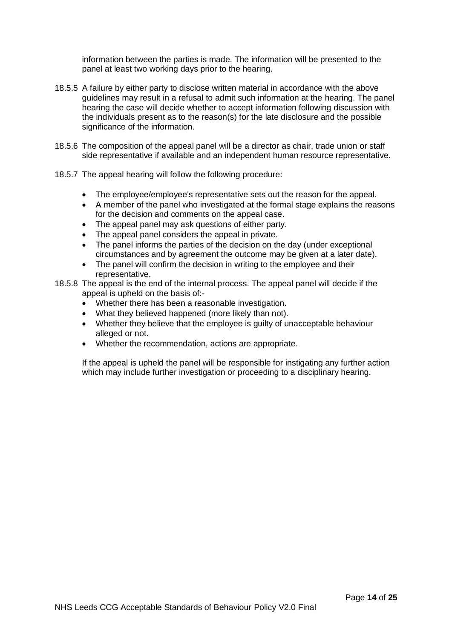information between the parties is made. The information will be presented to the panel at least two working days prior to the hearing.

- 18.5.5 A failure by either party to disclose written material in accordance with the above guidelines may result in a refusal to admit such information at the hearing. The panel hearing the case will decide whether to accept information following discussion with the individuals present as to the reason(s) for the late disclosure and the possible significance of the information.
- 18.5.6 The composition of the appeal panel will be a director as chair, trade union or staff side representative if available and an independent human resource representative.
- 18.5.7 The appeal hearing will follow the following procedure:
	- The employee/employee's representative sets out the reason for the appeal.
	- A member of the panel who investigated at the formal stage explains the reasons for the decision and comments on the appeal case.
	- The appeal panel may ask questions of either party.
	- The appeal panel considers the appeal in private.
	- The panel informs the parties of the decision on the day (under exceptional circumstances and by agreement the outcome may be given at a later date).
	- The panel will confirm the decision in writing to the employee and their representative.
- 18.5.8 The appeal is the end of the internal process. The appeal panel will decide if the appeal is upheld on the basis of:-
	- Whether there has been a reasonable investigation.
	- What they believed happened (more likely than not).
	- Whether they believe that the employee is guilty of unacceptable behaviour alleged or not.
	- Whether the recommendation, actions are appropriate.

If the appeal is upheld the panel will be responsible for instigating any further action which may include further investigation or proceeding to a disciplinary hearing.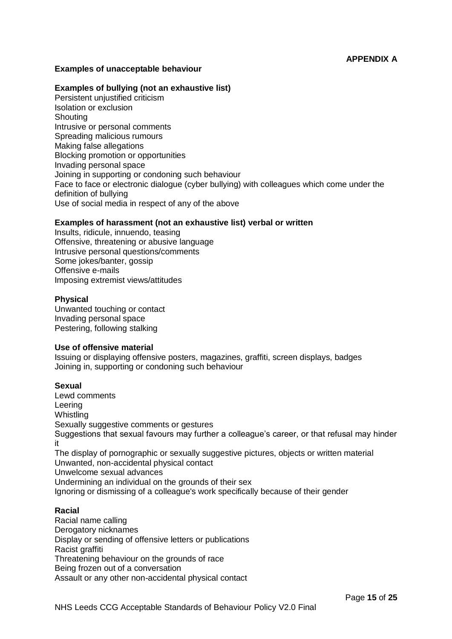# **APPENDIX A**

#### **Examples of unacceptable behaviour**

#### **Examples of bullying (not an exhaustive list)**

Persistent unjustified criticism Isolation or exclusion **Shouting** Intrusive or personal comments Spreading malicious rumours Making false allegations Blocking promotion or opportunities Invading personal space Joining in supporting or condoning such behaviour Face to face or electronic dialogue (cyber bullying) with colleagues which come under the definition of bullying Use of social media in respect of any of the above

#### **Examples of harassment (not an exhaustive list) verbal or written**

Insults, ridicule, innuendo, teasing Offensive, threatening or abusive language Intrusive personal questions/comments Some jokes/banter, gossip Offensive e-mails Imposing extremist views/attitudes

#### **Physical**

Unwanted touching or contact Invading personal space Pestering, following stalking

#### **Use of offensive material**

Issuing or displaying offensive posters, magazines, graffiti, screen displays, badges Joining in, supporting or condoning such behaviour

#### **Sexual**

Lewd comments Leering **Whistling** Sexually suggestive comments or gestures Suggestions that sexual favours may further a colleague's career, or that refusal may hinder it The display of pornographic or sexually suggestive pictures, objects or written material Unwanted, non-accidental physical contact Unwelcome sexual advances Undermining an individual on the grounds of their sex Ignoring or dismissing of a colleague's work specifically because of their gender

## **Racial**

Racial name calling Derogatory nicknames Display or sending of offensive letters or publications Racist graffiti Threatening behaviour on the grounds of race Being frozen out of a conversation Assault or any other non-accidental physical contact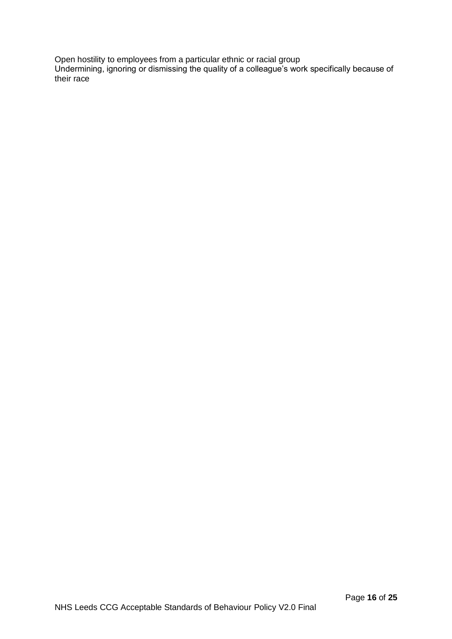Open hostility to employees from a particular ethnic or racial group Undermining, ignoring or dismissing the quality of a colleague's work specifically because of their race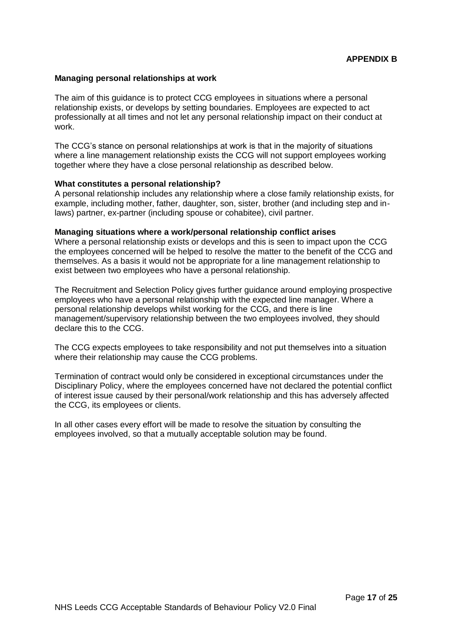#### **Managing personal relationships at work**

The aim of this guidance is to protect CCG employees in situations where a personal relationship exists, or develops by setting boundaries. Employees are expected to act professionally at all times and not let any personal relationship impact on their conduct at work.

The CCG's stance on personal relationships at work is that in the majority of situations where a line management relationship exists the CCG will not support employees working together where they have a close personal relationship as described below.

#### **What constitutes a personal relationship?**

A personal relationship includes any relationship where a close family relationship exists, for example, including mother, father, daughter, son, sister, brother (and including step and inlaws) partner, ex-partner (including spouse or cohabitee), civil partner.

#### **Managing situations where a work/personal relationship conflict arises**

Where a personal relationship exists or develops and this is seen to impact upon the CCG the employees concerned will be helped to resolve the matter to the benefit of the CCG and themselves. As a basis it would not be appropriate for a line management relationship to exist between two employees who have a personal relationship.

The Recruitment and Selection Policy gives further guidance around employing prospective employees who have a personal relationship with the expected line manager. Where a personal relationship develops whilst working for the CCG, and there is line management/supervisory relationship between the two employees involved, they should declare this to the CCG.

The CCG expects employees to take responsibility and not put themselves into a situation where their relationship may cause the CCG problems.

Termination of contract would only be considered in exceptional circumstances under the Disciplinary Policy, where the employees concerned have not declared the potential conflict of interest issue caused by their personal/work relationship and this has adversely affected the CCG, its employees or clients.

In all other cases every effort will be made to resolve the situation by consulting the employees involved, so that a mutually acceptable solution may be found.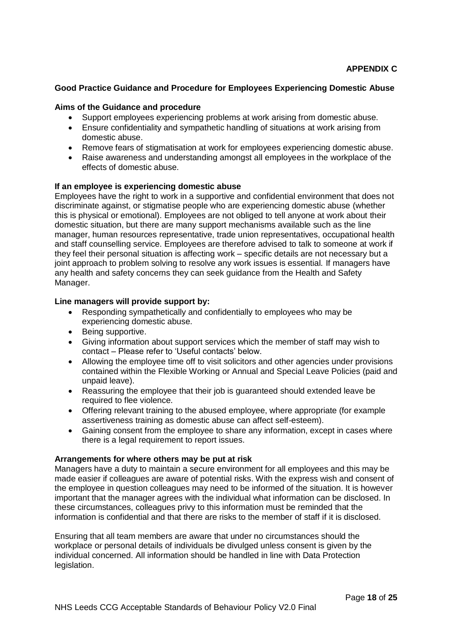# **Good Practice Guidance and Procedure for Employees Experiencing Domestic Abuse**

#### **Aims of the Guidance and procedure**

- Support employees experiencing problems at work arising from domestic abuse.
- Ensure confidentiality and sympathetic handling of situations at work arising from domestic abuse.
- Remove fears of stigmatisation at work for employees experiencing domestic abuse.
- Raise awareness and understanding amongst all employees in the workplace of the effects of domestic abuse.

#### **If an employee is experiencing domestic abuse**

Employees have the right to work in a supportive and confidential environment that does not discriminate against, or stigmatise people who are experiencing domestic abuse (whether this is physical or emotional). Employees are not obliged to tell anyone at work about their domestic situation, but there are many support mechanisms available such as the line manager, human resources representative, trade union representatives, occupational health and staff counselling service. Employees are therefore advised to talk to someone at work if they feel their personal situation is affecting work – specific details are not necessary but a joint approach to problem solving to resolve any work issues is essential. If managers have any health and safety concerns they can seek guidance from the Health and Safety Manager.

#### **Line managers will provide support by:**

- Responding sympathetically and confidentially to employees who may be experiencing domestic abuse.
- Being supportive.
- Giving information about support services which the member of staff may wish to contact – Please refer to 'Useful contacts' below.
- Allowing the employee time off to visit solicitors and other agencies under provisions contained within the Flexible Working or Annual and Special Leave Policies (paid and unpaid leave).
- Reassuring the employee that their job is guaranteed should extended leave be required to flee violence.
- Offering relevant training to the abused employee, where appropriate (for example assertiveness training as domestic abuse can affect self-esteem).
- Gaining consent from the employee to share any information, except in cases where there is a legal requirement to report issues.

#### **Arrangements for where others may be put at risk**

Managers have a duty to maintain a secure environment for all employees and this may be made easier if colleagues are aware of potential risks. With the express wish and consent of the employee in question colleagues may need to be informed of the situation. It is however important that the manager agrees with the individual what information can be disclosed. In these circumstances, colleagues privy to this information must be reminded that the information is confidential and that there are risks to the member of staff if it is disclosed.

Ensuring that all team members are aware that under no circumstances should the workplace or personal details of individuals be divulged unless consent is given by the individual concerned. All information should be handled in line with Data Protection legislation.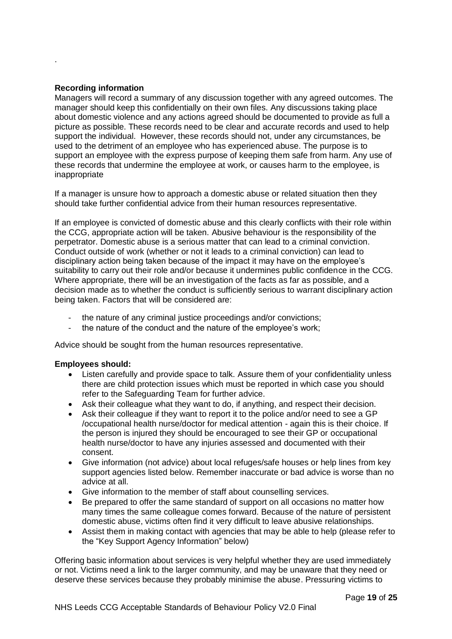#### **Recording information**

.

Managers will record a summary of any discussion together with any agreed outcomes. The manager should keep this confidentially on their own files. Any discussions taking place about domestic violence and any actions agreed should be documented to provide as full a picture as possible. These records need to be clear and accurate records and used to help support the individual. However, these records should not, under any circumstances, be used to the detriment of an employee who has experienced abuse. The purpose is to support an employee with the express purpose of keeping them safe from harm. Any use of these records that undermine the employee at work, or causes harm to the employee, is inappropriate

If a manager is unsure how to approach a domestic abuse or related situation then they should take further confidential advice from their human resources representative.

If an employee is convicted of domestic abuse and this clearly conflicts with their role within the CCG, appropriate action will be taken. Abusive behaviour is the responsibility of the perpetrator. Domestic abuse is a serious matter that can lead to a criminal conviction. Conduct outside of work (whether or not it leads to a criminal conviction) can lead to disciplinary action being taken because of the impact it may have on the employee's suitability to carry out their role and/or because it undermines public confidence in the CCG. Where appropriate, there will be an investigation of the facts as far as possible, and a decision made as to whether the conduct is sufficiently serious to warrant disciplinary action being taken. Factors that will be considered are:

- the nature of any criminal justice proceedings and/or convictions;
- the nature of the conduct and the nature of the employee's work;

Advice should be sought from the human resources representative.

#### **Employees should:**

- Listen carefully and provide space to talk. Assure them of your confidentiality unless there are child protection issues which must be reported in which case you should refer to the Safeguarding Team for further advice.
- Ask their colleague what they want to do, if anything, and respect their decision.
- Ask their colleague if they want to report it to the police and/or need to see a GP /occupational health nurse/doctor for medical attention - again this is their choice. If the person is injured they should be encouraged to see their GP or occupational health nurse/doctor to have any injuries assessed and documented with their consent.
- Give information (not advice) about local refuges/safe houses or help lines from key support agencies listed below. Remember inaccurate or bad advice is worse than no advice at all.
- Give information to the member of staff about counselling services.
- Be prepared to offer the same standard of support on all occasions no matter how many times the same colleague comes forward. Because of the nature of persistent domestic abuse, victims often find it very difficult to leave abusive relationships.
- Assist them in making contact with agencies that may be able to help (please refer to the "Key Support Agency Information" below)

Offering basic information about services is very helpful whether they are used immediately or not. Victims need a link to the larger community, and may be unaware that they need or deserve these services because they probably minimise the abuse. Pressuring victims to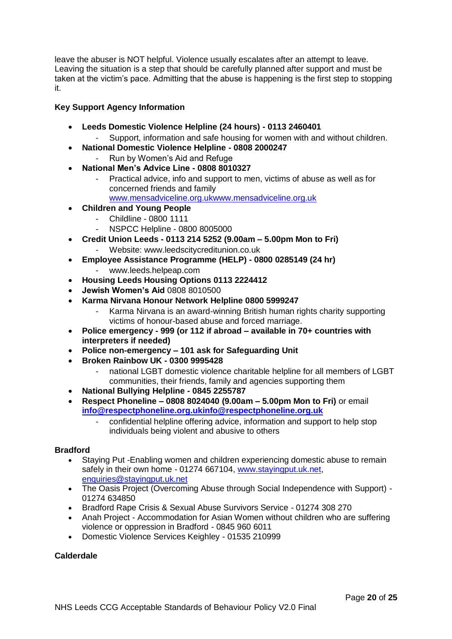leave the abuser is NOT helpful. Violence usually escalates after an attempt to leave. Leaving the situation is a step that should be carefully planned after support and must be taken at the victim's pace. Admitting that the abuse is happening is the first step to stopping it.

# **Key Support Agency Information**

- **Leeds Domestic Violence Helpline (24 hours) - 0113 2460401** 
	- Support, information and safe housing for women with and without children.
- **National Domestic Violence Helpline - 0808 2000247**  Run by Women's Aid and Refuge
- **National Men's Advice Line - 0808 8010327** 
	- Practical advice, info and support to men, victims of abuse as well as for concerned friends and family [www.mensadviceline.org.ukw](http://www.mensadviceline.org.uk/)ww.mensadviceline.org.uk
- **Children and Young People** 
	- Childline 0800 1111
		- NSPCC Helpline 0800 8005000
- **Credit Union Leeds - 0113 214 5252 (9.00am – 5.00pm Mon to Fri)** - Website: www.leedscitycreditunion.co.uk
- **Employee Assistance Programme (HELP) - 0800 0285149 (24 hr)**
	- www.leeds.helpeap.com
- **Housing Leeds Housing Options 0113 2224412**
- **Jewish Women's Aid** 0808 8010500
- **Karma Nirvana Honour Network Helpline 0800 5999247**
	- Karma Nirvana is an award-winning British human rights charity supporting victims of honour-based abuse and forced marriage.
- **Police emergency - 999 (or 112 if abroad – available in 70+ countries with interpreters if needed)**
- **Police non-emergency – 101 ask for Safeguarding Unit**
- **Broken Rainbow UK - 0300 9995428**
	- national LGBT domestic violence charitable helpline for all members of LGBT communities, their friends, family and agencies supporting them
- **National Bullying Helpline - 0845 2255787**
- **Respect Phoneline – 0808 8024040 (9.00am – 5.00pm Mon to Fri)** or email **[info@respectphoneline.org.uki](mailto:info@respectphoneline.org.uk)nfo@respectphoneline.org.uk**
	- confidential helpline offering advice, information and support to help stop individuals being violent and abusive to others

# **Bradford**

- Staying Put -Enabling women and children experiencing domestic abuse to remain safely in their own home - 01274 667104, [www.stayingput.uk.net,](http://www.stayingput.uk.net/) [enquiries@stayingput.uk.net](mailto:enquiries@stayingput.uk.net)
- The Oasis Project (Overcoming Abuse through Social Independence with Support) 01274 634850
- Bradford Rape Crisis & Sexual Abuse Survivors Service 01274 308 270
- Anah Project Accommodation for Asian Women without children who are suffering violence or oppression in Bradford - 0845 960 6011
- Domestic Violence Services Keighley 01535 210999

# **Calderdale**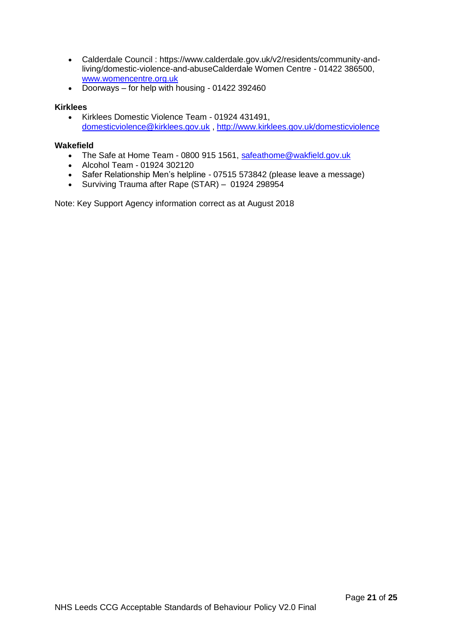- Calderdale Council : https://www.calderdale.gov.uk/v2/residents/community-andliving/domestic-violence-and-abuseCalderdale Women Centre - 01422 386500, [www.womencentre.org.uk](http://www.womencentre.org.uk/)
- Doorways for help with housing 01422 392460

# **Kirklees**

 Kirklees Domestic Violence Team - 01924 431491, [domesticviolence@kirklees.gov.uk](mailto:domesticviolence@kirklees.gov.uk) ,<http://www.kirklees.gov.uk/domesticviolence>

#### **Wakefield**

- The Safe at Home Team 0800 915 1561, [safeathome@wakfield.gov.uk](mailto:safeathome@wakfield.gov.uk)
- Alcohol Team 01924 302120
- Safer Relationship Men's helpline 07515 573842 (please leave a message)
- Surviving Trauma after Rape (STAR) 01924 298954

Note: Key Support Agency information correct as at August 2018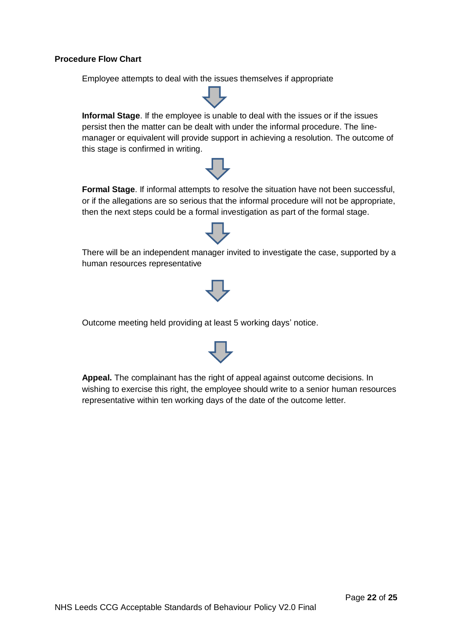## **Procedure Flow Chart**

Employee attempts to deal with the issues themselves if appropriate

**Informal Stage**. If the employee is unable to deal with the issues or if the issues persist then the matter can be dealt with under the informal procedure. The linemanager or equivalent will provide support in achieving a resolution. The outcome of this stage is confirmed in writing.

**Formal Stage**. If informal attempts to resolve the situation have not been successful, or if the allegations are so serious that the informal procedure will not be appropriate, then the next steps could be a formal investigation as part of the formal stage.

There will be an independent manager invited to investigate the case, supported by a human resources representative

Outcome meeting held providing at least 5 working days' notice.

**Appeal.** The complainant has the right of appeal against outcome decisions. In wishing to exercise this right, the employee should write to a senior human resources representative within ten working days of the date of the outcome letter.

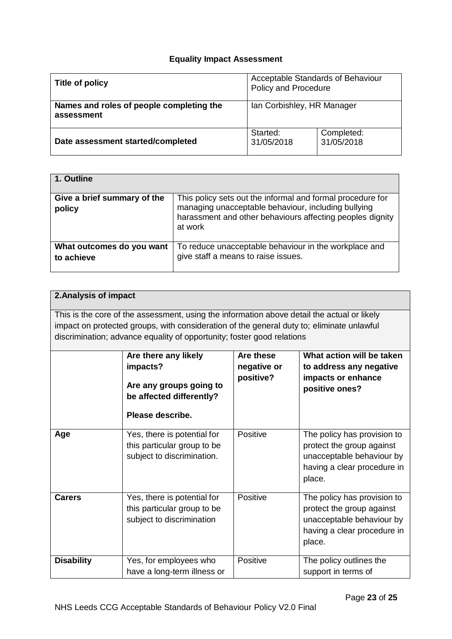# **Equality Impact Assessment**

| Title of policy                                        | Acceptable Standards of Behaviour<br><b>Policy and Procedure</b> |                          |
|--------------------------------------------------------|------------------------------------------------------------------|--------------------------|
| Names and roles of people completing the<br>assessment | Ian Corbishley, HR Manager                                       |                          |
| Date assessment started/completed                      | Started:<br>31/05/2018                                           | Completed:<br>31/05/2018 |

| 1. Outline                              |                                                                                                                                                                                           |
|-----------------------------------------|-------------------------------------------------------------------------------------------------------------------------------------------------------------------------------------------|
| Give a brief summary of the<br>policy   | This policy sets out the informal and formal procedure for<br>managing unacceptable behaviour, including bullying<br>harassment and other behaviours affecting peoples dignity<br>at work |
| What outcomes do you want<br>to achieve | To reduce unacceptable behaviour in the workplace and<br>give staff a means to raise issues.                                                                                              |

# **2.Analysis of impact**

This is the core of the assessment, using the information above detail the actual or likely impact on protected groups, with consideration of the general duty to; eliminate unlawful discrimination; advance equality of opportunity; foster good relations

|                   | Are there any likely<br>impacts?<br>Are any groups going to<br>be affected differently?<br>Please describe. | Are these<br>negative or<br>positive? | What action will be taken<br>to address any negative<br>impacts or enhance<br>positive ones?                                   |
|-------------------|-------------------------------------------------------------------------------------------------------------|---------------------------------------|--------------------------------------------------------------------------------------------------------------------------------|
| Age               | Yes, there is potential for<br>this particular group to be<br>subject to discrimination.                    | Positive                              | The policy has provision to<br>protect the group against<br>unacceptable behaviour by<br>having a clear procedure in<br>place. |
| <b>Carers</b>     | Yes, there is potential for<br>this particular group to be<br>subject to discrimination                     | Positive                              | The policy has provision to<br>protect the group against<br>unacceptable behaviour by<br>having a clear procedure in<br>place. |
| <b>Disability</b> | Yes, for employees who<br>have a long-term illness or                                                       | Positive                              | The policy outlines the<br>support in terms of                                                                                 |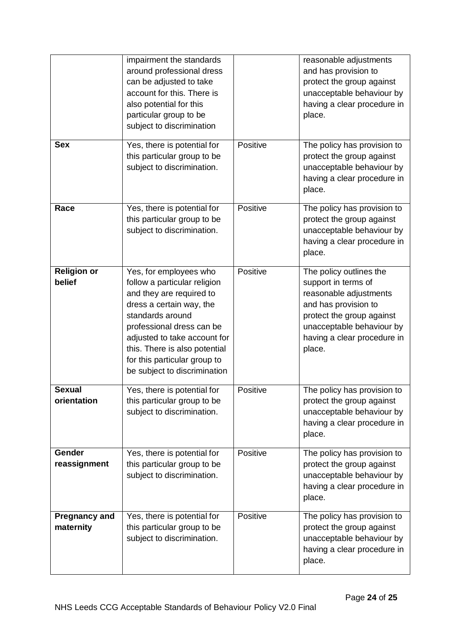| <b>Sex</b>                        | impairment the standards<br>around professional dress<br>can be adjusted to take<br>account for this. There is<br>also potential for this<br>particular group to be<br>subject to discrimination<br>Yes, there is potential for                                                                  | Positive | reasonable adjustments<br>and has provision to<br>protect the group against<br>unacceptable behaviour by<br>having a clear procedure in<br>place.<br>The policy has provision to                    |
|-----------------------------------|--------------------------------------------------------------------------------------------------------------------------------------------------------------------------------------------------------------------------------------------------------------------------------------------------|----------|-----------------------------------------------------------------------------------------------------------------------------------------------------------------------------------------------------|
|                                   | this particular group to be<br>subject to discrimination.                                                                                                                                                                                                                                        |          | protect the group against<br>unacceptable behaviour by<br>having a clear procedure in<br>place.                                                                                                     |
| Race                              | Yes, there is potential for<br>this particular group to be<br>subject to discrimination.                                                                                                                                                                                                         | Positive | The policy has provision to<br>protect the group against<br>unacceptable behaviour by<br>having a clear procedure in<br>place.                                                                      |
| <b>Religion or</b><br>belief      | Yes, for employees who<br>follow a particular religion<br>and they are required to<br>dress a certain way, the<br>standards around<br>professional dress can be<br>adjusted to take account for<br>this. There is also potential<br>for this particular group to<br>be subject to discrimination | Positive | The policy outlines the<br>support in terms of<br>reasonable adjustments<br>and has provision to<br>protect the group against<br>unacceptable behaviour by<br>having a clear procedure in<br>place. |
| <b>Sexual</b><br>orientation      | Yes, there is potential for<br>this particular group to be<br>subject to discrimination.                                                                                                                                                                                                         | Positive | The policy has provision to<br>protect the group against<br>unacceptable behaviour by<br>having a clear procedure in<br>place.                                                                      |
| Gender<br>reassignment            | Yes, there is potential for<br>this particular group to be<br>subject to discrimination.                                                                                                                                                                                                         | Positive | The policy has provision to<br>protect the group against<br>unacceptable behaviour by<br>having a clear procedure in<br>place.                                                                      |
| <b>Pregnancy and</b><br>maternity | Yes, there is potential for<br>this particular group to be<br>subject to discrimination.                                                                                                                                                                                                         | Positive | The policy has provision to<br>protect the group against<br>unacceptable behaviour by<br>having a clear procedure in<br>place.                                                                      |